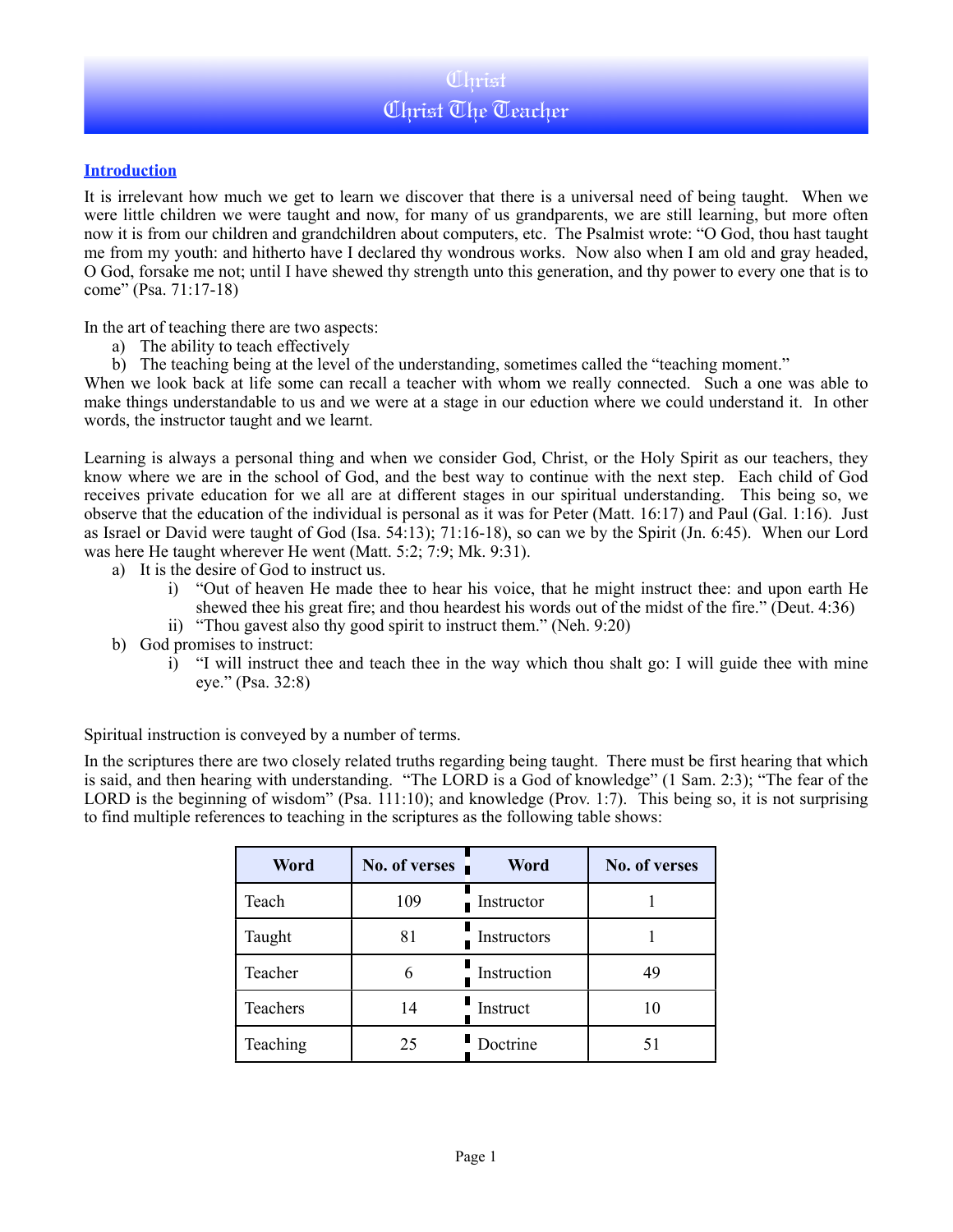# Christ Christ The Teacher

## **Introduction**

It is irrelevant how much we get to learn we discover that there is a universal need of being taught. When we were little children we were taught and now, for many of us grandparents, we are still learning, but more often now it is from our children and grandchildren about computers, etc. The Psalmist wrote: "O God, thou hast taught me from my youth: and hitherto have I declared thy wondrous works. Now also when I am old and gray headed, O God, forsake me not; until I have shewed thy strength unto this generation, and thy power to every one that is to come" (Psa. 71:17-18)

In the art of teaching there are two aspects:

- a) The ability to teach effectively
- b) The teaching being at the level of the understanding, sometimes called the "teaching moment."

When we look back at life some can recall a teacher with whom we really connected. Such a one was able to make things understandable to us and we were at a stage in our eduction where we could understand it. In other words, the instructor taught and we learnt.

Learning is always a personal thing and when we consider God, Christ, or the Holy Spirit as our teachers, they know where we are in the school of God, and the best way to continue with the next step. Each child of God receives private education for we all are at different stages in our spiritual understanding. This being so, we observe that the education of the individual is personal as it was for Peter (Matt. 16:17) and Paul (Gal. 1:16). Just as Israel or David were taught of God (Isa. 54:13); 71:16-18), so can we by the Spirit (Jn. 6:45). When our Lord was here He taught wherever He went (Matt. 5:2; 7:9; Mk. 9:31).

- a) It is the desire of God to instruct us.
	- i) "Out of heaven He made thee to hear his voice, that he might instruct thee: and upon earth He shewed thee his great fire; and thou heardest his words out of the midst of the fire." (Deut. 4:36)
	- ii) "Thou gavest also thy good spirit to instruct them." (Neh. 9:20)
- b) God promises to instruct:
	- i) "I will instruct thee and teach thee in the way which thou shalt go: I will guide thee with mine eye." (Psa. 32:8)

Spiritual instruction is conveyed by a number of terms.

In the scriptures there are two closely related truths regarding being taught. There must be first hearing that which is said, and then hearing with understanding. "The LORD is a God of knowledge" (1 Sam. 2:3); "The fear of the LORD is the beginning of wisdom" (Psa. 111:10); and knowledge (Prov. 1:7). This being so, it is not surprising to find multiple references to teaching in the scriptures as the following table shows:

| Word     | No. of verses | Word        | No. of verses |
|----------|---------------|-------------|---------------|
| Teach    | 109           | Instructor  |               |
| Taught   | 81            | Instructors |               |
| Teacher  |               | Instruction | 49            |
| Teachers | 14            | Instruct    | 10            |
| Teaching | 25            | Doctrine    | 51            |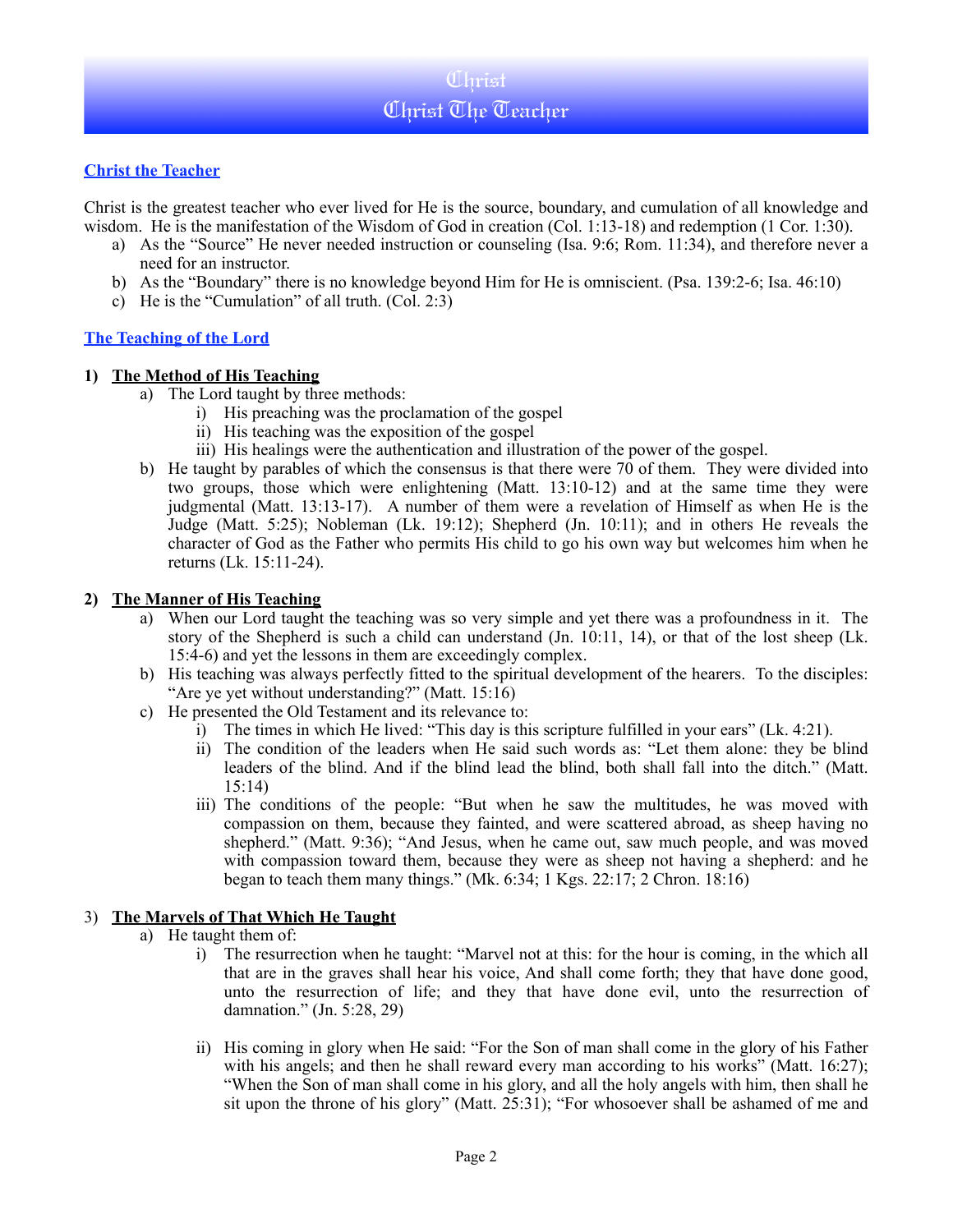# **Christ the Teacher**

Christ is the greatest teacher who ever lived for He is the source, boundary, and cumulation of all knowledge and wisdom. He is the manifestation of the Wisdom of God in creation (Col. 1:13-18) and redemption (1 Cor. 1:30).

- a) As the "Source" He never needed instruction or counseling (Isa. 9:6; Rom. 11:34), and therefore never a need for an instructor.
- b) As the "Boundary" there is no knowledge beyond Him for He is omniscient. (Psa. 139:2-6; Isa. 46:10)
- c) He is the "Cumulation" of all truth. (Col. 2:3)

## **The Teaching of the Lord**

#### **1) The Method of His Teaching**

- a) The Lord taught by three methods:
	- i) His preaching was the proclamation of the gospel
	- ii) His teaching was the exposition of the gospel
	- iii) His healings were the authentication and illustration of the power of the gospel.
- b) He taught by parables of which the consensus is that there were 70 of them. They were divided into two groups, those which were enlightening (Matt. 13:10-12) and at the same time they were judgmental (Matt. 13:13-17). A number of them were a revelation of Himself as when He is the Judge (Matt. 5:25); Nobleman (Lk. 19:12); Shepherd (Jn. 10:11); and in others He reveals the character of God as the Father who permits His child to go his own way but welcomes him when he returns (Lk. 15:11-24).

#### **2) The Manner of His Teaching**

- a) When our Lord taught the teaching was so very simple and yet there was a profoundness in it. The story of the Shepherd is such a child can understand (Jn. 10:11, 14), or that of the lost sheep (Lk. 15:4-6) and yet the lessons in them are exceedingly complex.
- b) His teaching was always perfectly fitted to the spiritual development of the hearers. To the disciples: "Are ye yet without understanding?" (Matt. 15:16)
- c) He presented the Old Testament and its relevance to:
	- i) The times in which He lived: "This day is this scripture fulfilled in your ears" (Lk. 4:21).
	- ii) The condition of the leaders when He said such words as: "Let them alone: they be blind leaders of the blind. And if the blind lead the blind, both shall fall into the ditch." (Matt. 15:14)
	- iii) The conditions of the people: "But when he saw the multitudes, he was moved with compassion on them, because they fainted, and were scattered abroad, as sheep having no shepherd." (Matt. 9:36); "And Jesus, when he came out, saw much people, and was moved with compassion toward them, because they were as sheep not having a shepherd: and he began to teach them many things." (Mk. 6:34; 1 Kgs. 22:17; 2 Chron. 18:16)

## 3) **The Marvels of That Which He Taught**

- a) He taught them of:
	- i) The resurrection when he taught: "Marvel not at this: for the hour is coming, in the which all that are in the graves shall hear his voice, And shall come forth; they that have done good, unto the resurrection of life; and they that have done evil, unto the resurrection of damnation." (Jn. 5:28, 29)
	- ii) His coming in glory when He said: "For the Son of man shall come in the glory of his Father with his angels; and then he shall reward every man according to his works" (Matt. 16:27); "When the Son of man shall come in his glory, and all the holy angels with him, then shall he sit upon the throne of his glory" (Matt. 25:31); "For whosoever shall be ashamed of me and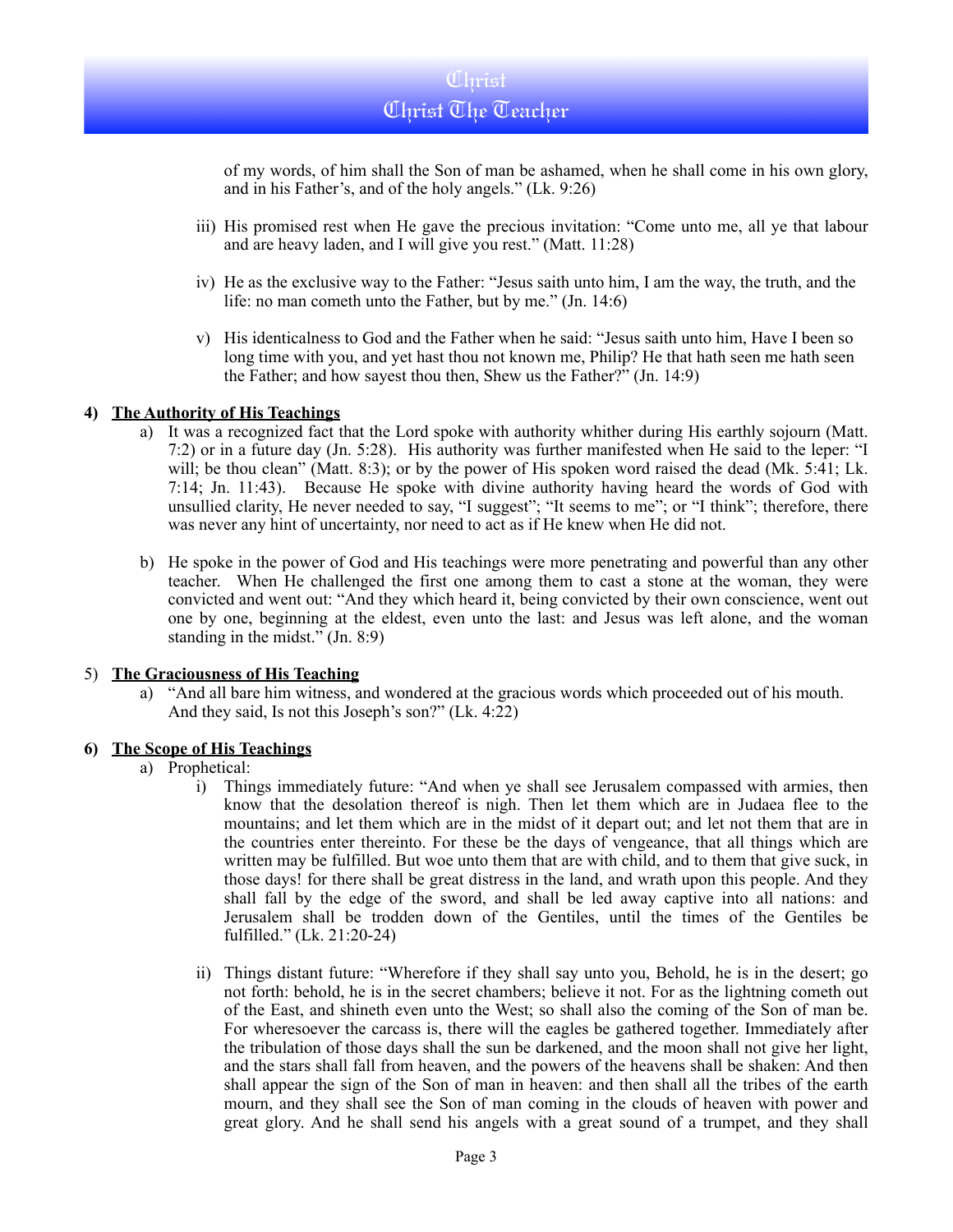of my words, of him shall the Son of man be ashamed, when he shall come in his own glory, and in his Father's, and of the holy angels." (Lk. 9:26)

- iii) His promised rest when He gave the precious invitation: "Come unto me, all ye that labour and are heavy laden, and I will give you rest." (Matt. 11:28)
- iv) He as the exclusive way to the Father: "Jesus saith unto him, I am the way, the truth, and the life: no man cometh unto the Father, but by me." (Jn. 14:6)
- v) His identicalness to God and the Father when he said: "Jesus saith unto him, Have I been so long time with you, and yet hast thou not known me, Philip? He that hath seen me hath seen the Father; and how sayest thou then, Shew us the Father?" (Jn. 14:9)

#### **4) The Authority of His Teachings**

- a) It was a recognized fact that the Lord spoke with authority whither during His earthly sojourn (Matt. 7:2) or in a future day (Jn. 5:28). His authority was further manifested when He said to the leper: "I will; be thou clean" (Matt. 8:3); or by the power of His spoken word raised the dead (Mk. 5:41; Lk. 7:14; Jn. 11:43). Because He spoke with divine authority having heard the words of God with unsullied clarity, He never needed to say, "I suggest"; "It seems to me"; or "I think"; therefore, there was never any hint of uncertainty, nor need to act as if He knew when He did not.
- b) He spoke in the power of God and His teachings were more penetrating and powerful than any other teacher. When He challenged the first one among them to cast a stone at the woman, they were convicted and went out: "And they which heard it, being convicted by their own conscience, went out one by one, beginning at the eldest, even unto the last: and Jesus was left alone, and the woman standing in the midst." (Jn. 8:9)

#### 5) **The Graciousness of His Teaching**

a) "And all bare him witness, and wondered at the gracious words which proceeded out of his mouth. And they said, Is not this Joseph's son?" (Lk. 4:22)

## **6) The Scope of His Teachings**

- a) Prophetical:
	- i) Things immediately future: "And when ye shall see Jerusalem compassed with armies, then know that the desolation thereof is nigh. Then let them which are in Judaea flee to the mountains; and let them which are in the midst of it depart out; and let not them that are in the countries enter thereinto. For these be the days of vengeance, that all things which are written may be fulfilled. But woe unto them that are with child, and to them that give suck, in those days! for there shall be great distress in the land, and wrath upon this people. And they shall fall by the edge of the sword, and shall be led away captive into all nations: and Jerusalem shall be trodden down of the Gentiles, until the times of the Gentiles be fulfilled." (Lk. 21:20-24)
	- ii) Things distant future: "Wherefore if they shall say unto you, Behold, he is in the desert; go not forth: behold, he is in the secret chambers; believe it not. For as the lightning cometh out of the East, and shineth even unto the West; so shall also the coming of the Son of man be. For wheresoever the carcass is, there will the eagles be gathered together. Immediately after the tribulation of those days shall the sun be darkened, and the moon shall not give her light, and the stars shall fall from heaven, and the powers of the heavens shall be shaken: And then shall appear the sign of the Son of man in heaven: and then shall all the tribes of the earth mourn, and they shall see the Son of man coming in the clouds of heaven with power and great glory. And he shall send his angels with a great sound of a trumpet, and they shall